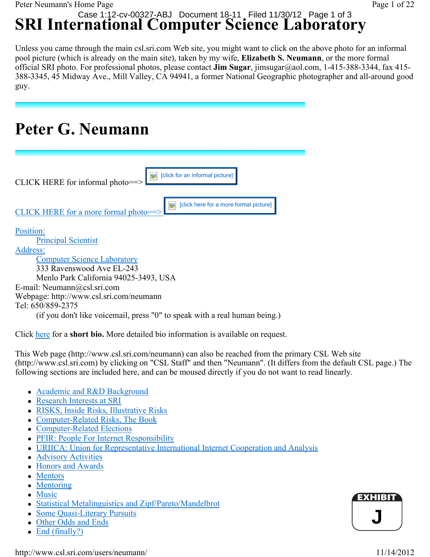# **SRI International Computer Science Laboratory** Case 1:12-cv-00327-ABJ Document 18-11 Filed 11/30/12 Page 1 of 3

Unless you came through the main csl.sri.com Web site, you might want to click on the above photo for an informal pool picture (which is already on the main site), taken by my wife, **Elizabeth S. Neumann**, or the more formal official SRI photo. For professional photos, please contact **Jim Sugar**, jimsugar@aol.com, 1-415-388-3344, fax 415- 388-3345, 45 Midway Ave., Mill Valley, CA 94941, a former National Geographic photographer and all-around good guy.

**Peter G. Neumann**

| [click for an informal picture]<br>CLICK HERE for informal photo==>           |
|-------------------------------------------------------------------------------|
| [click here for a more formal picture]<br>CLICK HERE for a more formal photo- |
| Position:                                                                     |
| <b>Principal Scientist</b><br>Address:                                        |
| <b>Computer Science Laboratory</b>                                            |
| 333 Ravenswood Ave EL-243                                                     |
| Menlo Park California 94025-3493, USA                                         |
| E-mail: Neumann@csl.sri.com                                                   |
| Webpage: http://www.csl.sri.com/neumann                                       |
| Tel: 650/859-2375                                                             |
| (if you don't like voicemail, press "0" to speak with a real human being.)    |

Click here for a **short bio.** More detailed bio information is available on request.

This Web page (http://www.csl.sri.com/neumann) can also be reached from the primary CSL Web site (http://www.csl.sri.com) by clicking on "CSL Staff" and then "Neumann". (It differs from the default CSL page.) The following sections are included here, and can be moused directly if you do not want to read linearly.

- Academic and R&D Background
- Research Interests at SRI
- RISKS, Inside Risks, Illustrative Risks
- Computer-Related Risks, The Book
- Computer-Related Elections
- PFIR: People For Internet Responsibility
- URIICA: Union for Representative International Internet Cooperation and Analysis
- Advisory Activities
- Honors and Awards
- Mentors
- $\bullet$  Mentoring
- $\bullet$  Music
- Statistical Metalinguistics and Zipf/Pareto/Mandelbrot
- Some Quasi-Literary Pursuits
- Other Odds and Ends
- End (finally?)

http://www.csl.sri.com/users/neumann/ 11/14/2012

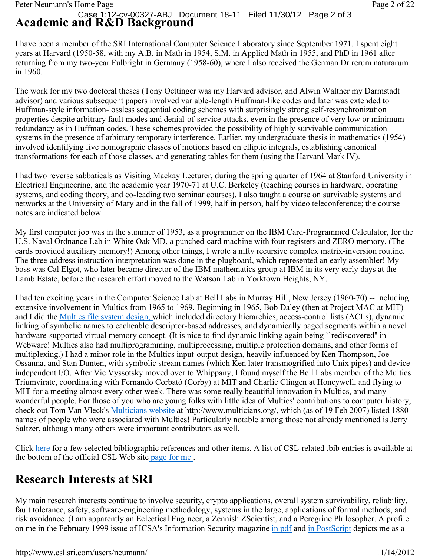#### **Academic and R&D Background** Case 1:12-cv-00327-ABJ Document 18-11 Filed 11/30/12 Page 2 of 3

I have been a member of the SRI International Computer Science Laboratory since September 1971. I spent eight years at Harvard (1950-58, with my A.B. in Math in 1954, S.M. in Applied Math in 1955, and PhD in 1961 after returning from my two-year Fulbright in Germany (1958-60), where I also received the German Dr rerum naturarum in 1960.

The work for my two doctoral theses (Tony Oettinger was my Harvard advisor, and Alwin Walther my Darmstadt advisor) and various subsequent papers involved variable-length Huffman-like codes and later was extended to Huffman-style information-lossless sequential coding schemes with surprisingly strong self-resynchronization properties despite arbitrary fault modes and denial-of-service attacks, even in the presence of very low or minimum redundancy as in Huffman codes. These schemes provided the possibility of highly survivable communication systems in the presence of arbitrary temporary interference. Earlier, my undergraduate thesis in mathematics (1954) involved identifying five nomographic classes of motions based on elliptic integrals, establishing canonical transformations for each of those classes, and generating tables for them (using the Harvard Mark IV).

I had two reverse sabbaticals as Visiting Mackay Lecturer, during the spring quarter of 1964 at Stanford University in Electrical Engineering, and the academic year 1970-71 at U.C. Berkeley (teaching courses in hardware, operating systems, and coding theory, and co-leading two seminar courses). I also taught a course on survivable systems and networks at the University of Maryland in the fall of 1999, half in person, half by video teleconference; the course notes are indicated below.

My first computer job was in the summer of 1953, as a programmer on the IBM Card-Programmed Calculator, for the U.S. Naval Ordnance Lab in White Oak MD, a punched-card machine with four registers and ZERO memory. (The cards provided auxiliary memory!) Among other things, I wrote a nifty recursive complex matrix-inversion routine. The three-address instruction interpretation was done in the plugboard, which represented an early assembler! My boss was Cal Elgot, who later became director of the IBM mathematics group at IBM in its very early days at the Lamb Estate, before the research effort moved to the Watson Lab in Yorktown Heights, NY.

I had ten exciting years in the Computer Science Lab at Bell Labs in Murray Hill, New Jersey (1960-70) -- including extensive involvement in Multics from 1965 to 1969. Beginning in 1965, Bob Daley (then at Project MAC at MIT) and I did the Multics file system design, which included directory hierarchies, access-control lists (ACLs), dynamic linking of symbolic names to cacheable descriptor-based addresses, and dynamically paged segments within a novel hardware-supported virtual memory concept. (It is nice to find dynamic linking again being ``rediscovered'' in Webware! Multics also had multiprogramming, multiprocessing, multiple protection domains, and other forms of multiplexing.) I had a minor role in the Multics input-output design, heavily influenced by Ken Thompson, Joe Ossanna, and Stan Dunten, with symbolic stream names (which Ken later transmogrified into Unix pipes) and deviceindependent I/O. After Vic Vyssotsky moved over to Whippany, I found myself the Bell Labs member of the Multics Triumvirate, coordinating with Fernando Corbató (Corby) at MIT and Charlie Clingen at Honeywell, and flying to MIT for a meeting almost every other week. There was some really beautiful innovation in Multics, and many wonderful people. For those of you who are young folks with little idea of Multics' contributions to computer history, check out Tom Van Vleck's Multicians website at http://www.multicians.org/, which (as of 19 Feb 2007) listed 1880 names of people who were associated with Multics! Particularly notable among those not already mentioned is Jerry Saltzer, although many others were important contributors as well.

Click here for a few selected bibliographic references and other items. A list of CSL-related .bib entries is available at the bottom of the official CSL Web site page for me .

# **Research Interests at SRI**

My main research interests continue to involve security, crypto applications, overall system survivability, reliability, fault tolerance, safety, software-engineering methodology, systems in the large, applications of formal methods, and risk avoidance. (I am apparently an Eclectical Engineer, a Zennish ZScientist, and a Peregrine Philosopher. A profile on me in the February 1999 issue of ICSA's Information Security magazine in pdf and in PostScript depicts me as a